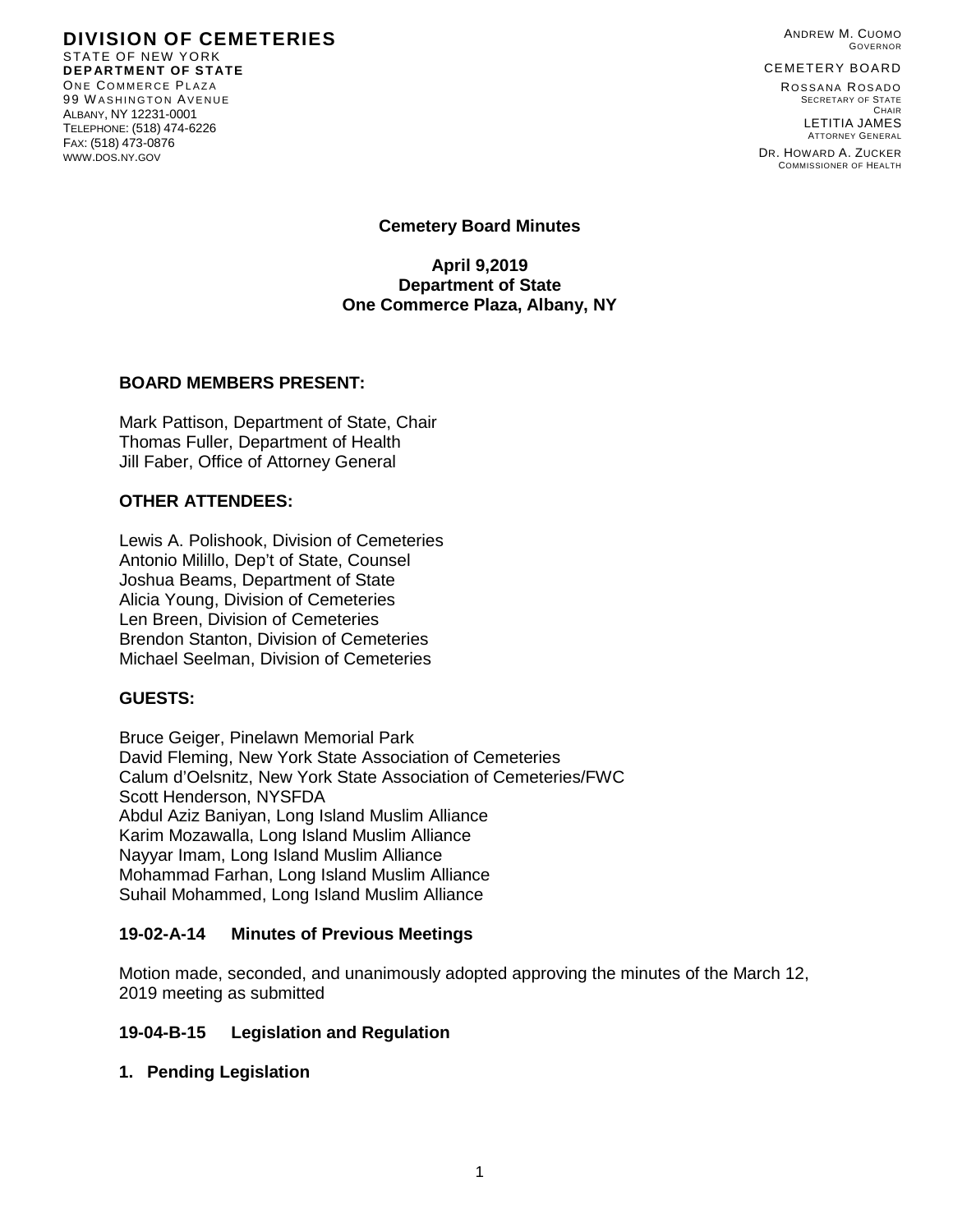ANDREW M. CUOMO GOVERNOR

CEMETERY BOARD

ROSSANA ROSADO SECRETARY OF STATE CHAIR LETITIA JAMES ATTORNEY GENERAL

DR. HOWARD A. ZUCKER COMMISSIONER OF HEALTH

#### **DIVISION OF CEMETERIES** STATE OF NEW YORK **DEPARTMENT OF STATE** ONE COMMERCE PLAZA 99 W ASHINGTON AVENUE ALBANY, NY 12231-0001 TELEPHONE: (518) 474-6226 FAX: (518) 473-0876 WWW.DOS.NY.GOV

**Cemetery Board Minutes**

**April 9,2019 Department of State One Commerce Plaza, Albany, NY**

#### **BOARD MEMBERS PRESENT:**

Mark Pattison, Department of State, Chair Thomas Fuller, Department of Health Jill Faber, Office of Attorney General

### **OTHER ATTENDEES:**

Lewis A. Polishook, Division of Cemeteries Antonio Milillo, Dep't of State, Counsel Joshua Beams, Department of State Alicia Young, Division of Cemeteries Len Breen, Division of Cemeteries Brendon Stanton, Division of Cemeteries Michael Seelman, Division of Cemeteries

### **GUESTS:**

Bruce Geiger, Pinelawn Memorial Park David Fleming, New York State Association of Cemeteries Calum d'Oelsnitz, New York State Association of Cemeteries/FWC Scott Henderson, NYSFDA Abdul Aziz Baniyan, Long Island Muslim Alliance Karim Mozawalla, Long Island Muslim Alliance Nayyar Imam, Long Island Muslim Alliance Mohammad Farhan, Long Island Muslim Alliance Suhail Mohammed, Long Island Muslim Alliance

### **19-02-A-14 Minutes of Previous Meetings**

Motion made, seconded, and unanimously adopted approving the minutes of the March 12, 2019 meeting as submitted

#### **19-04-B-15 Legislation and Regulation**

**1. Pending Legislation**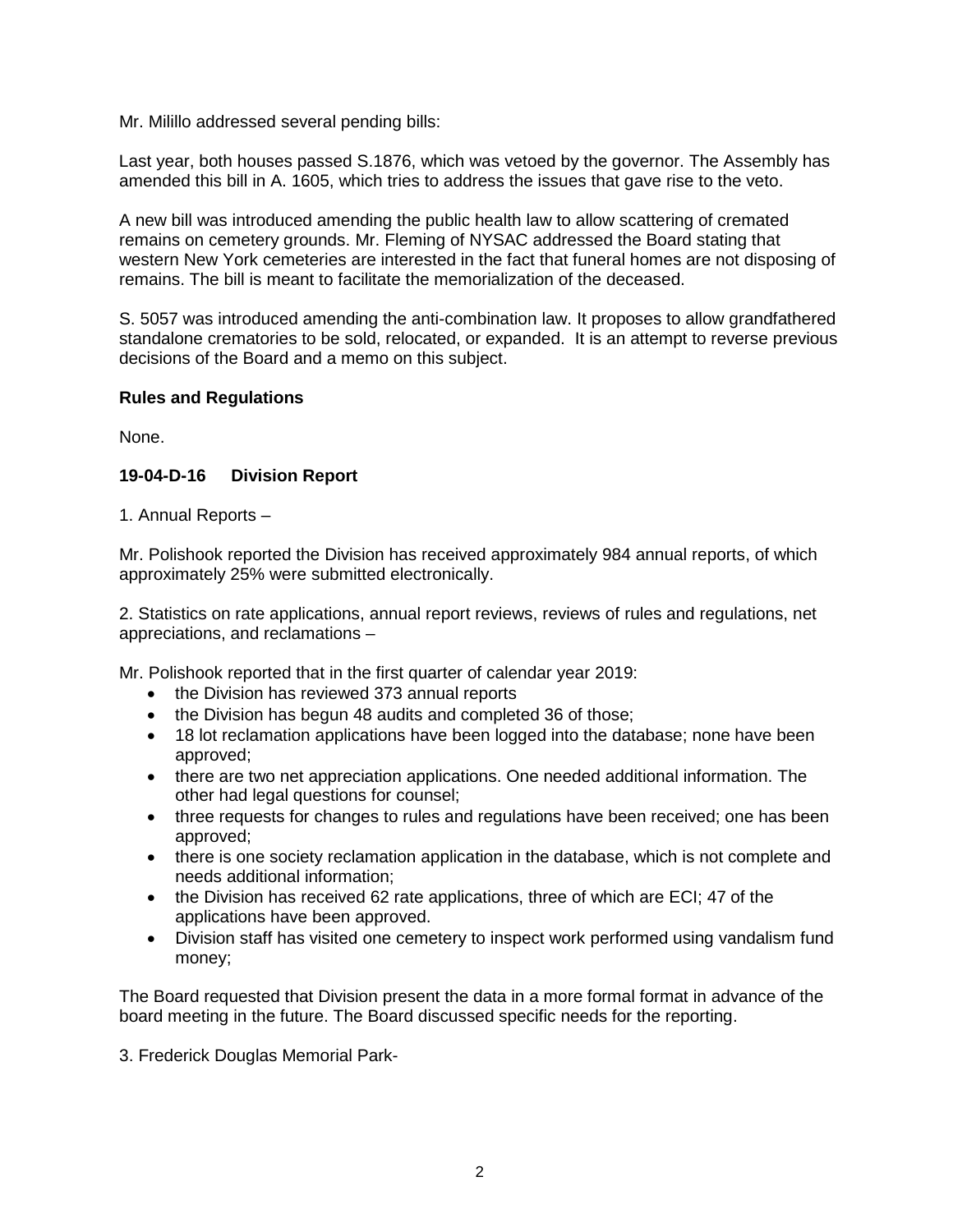Mr. Milillo addressed several pending bills:

Last year, both houses passed S.1876, which was vetoed by the governor. The Assembly has amended this bill in A. 1605, which tries to address the issues that gave rise to the veto.

A new bill was introduced amending the public health law to allow scattering of cremated remains on cemetery grounds. Mr. Fleming of NYSAC addressed the Board stating that western New York cemeteries are interested in the fact that funeral homes are not disposing of remains. The bill is meant to facilitate the memorialization of the deceased.

S. 5057 was introduced amending the anti-combination law. It proposes to allow grandfathered standalone crematories to be sold, relocated, or expanded. It is an attempt to reverse previous decisions of the Board and a memo on this subject.

### **Rules and Regulations**

None.

# **19-04-D-16 Division Report**

1. Annual Reports –

Mr. Polishook reported the Division has received approximately 984 annual reports, of which approximately 25% were submitted electronically.

2. Statistics on rate applications, annual report reviews, reviews of rules and regulations, net appreciations, and reclamations –

Mr. Polishook reported that in the first quarter of calendar year 2019:

- the Division has reviewed 373 annual reports
- the Division has begun 48 audits and completed 36 of those;
- 18 lot reclamation applications have been logged into the database; none have been approved;
- there are two net appreciation applications. One needed additional information. The other had legal questions for counsel;
- three requests for changes to rules and regulations have been received; one has been approved;
- there is one society reclamation application in the database, which is not complete and needs additional information;
- the Division has received 62 rate applications, three of which are ECI; 47 of the applications have been approved.
- Division staff has visited one cemetery to inspect work performed using vandalism fund money;

The Board requested that Division present the data in a more formal format in advance of the board meeting in the future. The Board discussed specific needs for the reporting.

3. Frederick Douglas Memorial Park-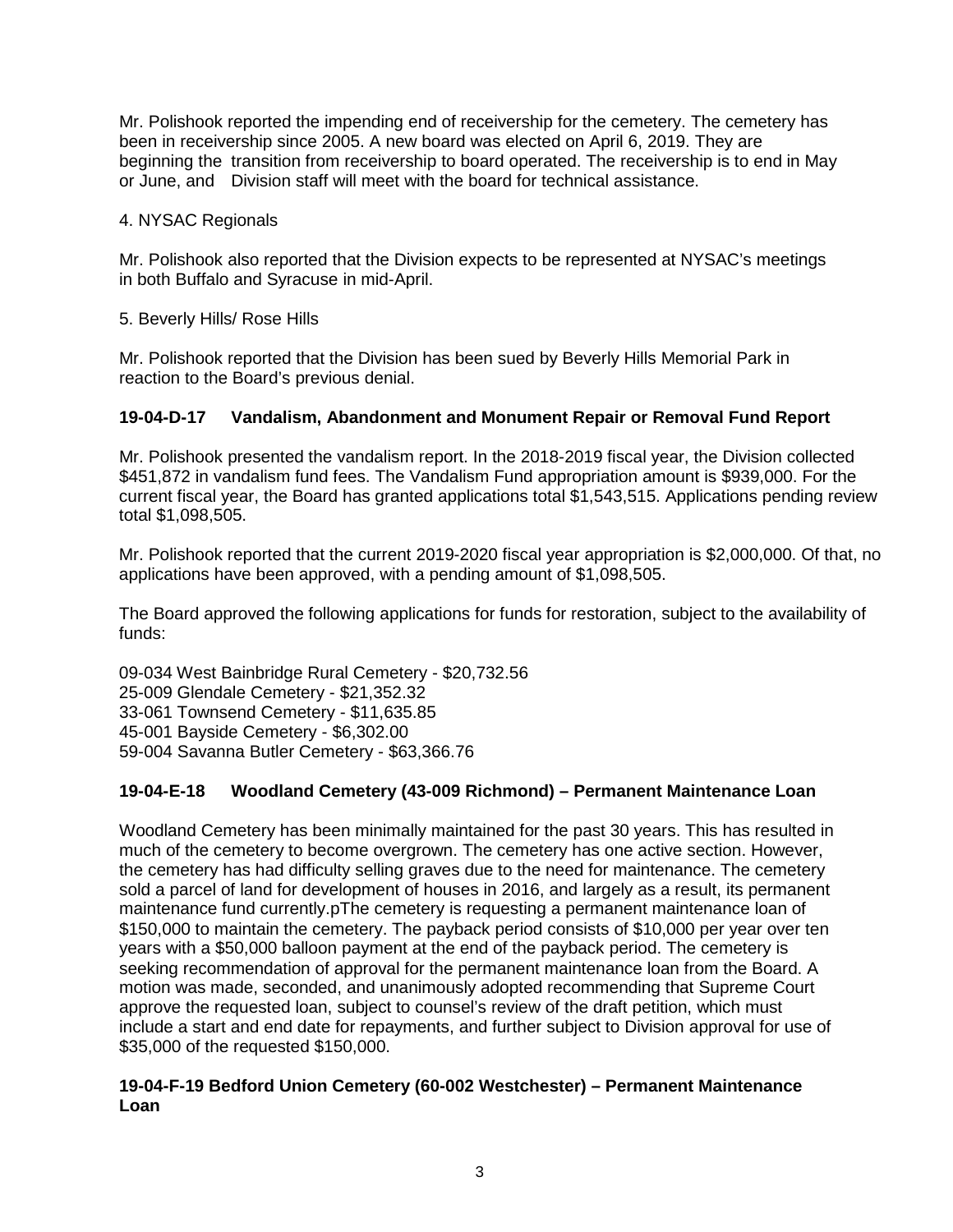Mr. Polishook reported the impending end of receivership for the cemetery. The cemetery has been in receivership since 2005. A new board was elected on April 6, 2019. They are beginning the transition from receivership to board operated. The receivership is to end in May or June, and Division staff will meet with the board for technical assistance.

### 4. NYSAC Regionals

Mr. Polishook also reported that the Division expects to be represented at NYSAC's meetings in both Buffalo and Syracuse in mid-April.

5. Beverly Hills/ Rose Hills

Mr. Polishook reported that the Division has been sued by Beverly Hills Memorial Park in reaction to the Board's previous denial.

# **19-04-D-17 Vandalism, Abandonment and Monument Repair or Removal Fund Report**

Mr. Polishook presented the vandalism report. In the 2018-2019 fiscal year, the Division collected \$451,872 in vandalism fund fees. The Vandalism Fund appropriation amount is \$939,000. For the current fiscal year, the Board has granted applications total \$1,543,515. Applications pending review total \$1,098,505.

Mr. Polishook reported that the current 2019-2020 fiscal year appropriation is \$2,000,000. Of that, no applications have been approved, with a pending amount of \$1,098,505.

The Board approved the following applications for funds for restoration, subject to the availability of funds:

09-034 West Bainbridge Rural Cemetery - \$20,732.56 25-009 Glendale Cemetery - \$21,352.32 33-061 Townsend Cemetery - \$11,635.85 45-001 Bayside Cemetery - \$6,302.00 59-004 Savanna Butler Cemetery - \$63,366.76

# **19-04-E-18 Woodland Cemetery (43-009 Richmond) – Permanent Maintenance Loan**

Woodland Cemetery has been minimally maintained for the past 30 years. This has resulted in much of the cemetery to become overgrown. The cemetery has one active section. However, the cemetery has had difficulty selling graves due to the need for maintenance. The cemetery sold a parcel of land for development of houses in 2016, and largely as a result, its permanent maintenance fund currently.pThe cemetery is requesting a permanent maintenance loan of \$150,000 to maintain the cemetery. The payback period consists of \$10,000 per year over ten years with a \$50,000 balloon payment at the end of the payback period. The cemetery is seeking recommendation of approval for the permanent maintenance loan from the Board. A motion was made, seconded, and unanimously adopted recommending that Supreme Court approve the requested loan, subject to counsel's review of the draft petition, which must include a start and end date for repayments, and further subject to Division approval for use of \$35,000 of the requested \$150,000.

# **19-04-F-19 Bedford Union Cemetery (60-002 Westchester) – Permanent Maintenance Loan**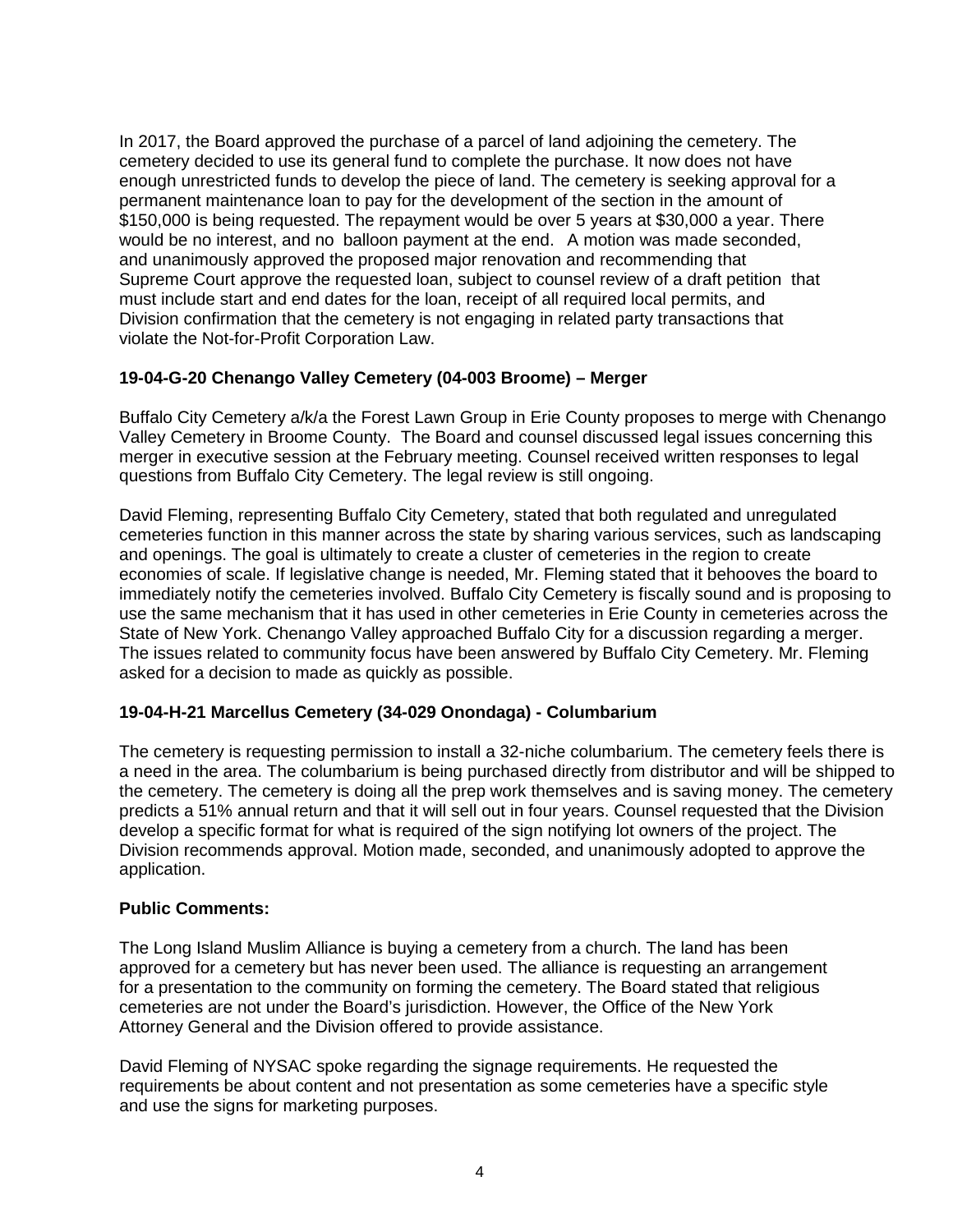In 2017, the Board approved the purchase of a parcel of land adjoining the cemetery. The cemetery decided to use its general fund to complete the purchase. It now does not have enough unrestricted funds to develop the piece of land. The cemetery is seeking approval for a permanent maintenance loan to pay for the development of the section in the amount of \$150,000 is being requested. The repayment would be over 5 years at \$30,000 a year. There would be no interest, and no balloon payment at the end. A motion was made seconded, and unanimously approved the proposed major renovation and recommending that Supreme Court approve the requested loan, subject to counsel review of a draft petition that must include start and end dates for the loan, receipt of all required local permits, and Division confirmation that the cemetery is not engaging in related party transactions that violate the Not-for-Profit Corporation Law.

# **19-04-G-20 Chenango Valley Cemetery (04-003 Broome) – Merger**

Buffalo City Cemetery a/k/a the Forest Lawn Group in Erie County proposes to merge with Chenango Valley Cemetery in Broome County. The Board and counsel discussed legal issues concerning this merger in executive session at the February meeting. Counsel received written responses to legal questions from Buffalo City Cemetery. The legal review is still ongoing.

David Fleming, representing Buffalo City Cemetery, stated that both regulated and unregulated cemeteries function in this manner across the state by sharing various services, such as landscaping and openings. The goal is ultimately to create a cluster of cemeteries in the region to create economies of scale. If legislative change is needed, Mr. Fleming stated that it behooves the board to immediately notify the cemeteries involved. Buffalo City Cemetery is fiscally sound and is proposing to use the same mechanism that it has used in other cemeteries in Erie County in cemeteries across the State of New York. Chenango Valley approached Buffalo City for a discussion regarding a merger. The issues related to community focus have been answered by Buffalo City Cemetery. Mr. Fleming asked for a decision to made as quickly as possible.

### **19-04-H-21 Marcellus Cemetery (34-029 Onondaga) - Columbarium**

The cemetery is requesting permission to install a 32-niche columbarium. The cemetery feels there is a need in the area. The columbarium is being purchased directly from distributor and will be shipped to the cemetery. The cemetery is doing all the prep work themselves and is saving money. The cemetery predicts a 51% annual return and that it will sell out in four years. Counsel requested that the Division develop a specific format for what is required of the sign notifying lot owners of the project. The Division recommends approval. Motion made, seconded, and unanimously adopted to approve the application.

### **Public Comments:**

The Long Island Muslim Alliance is buying a cemetery from a church. The land has been approved for a cemetery but has never been used. The alliance is requesting an arrangement for a presentation to the community on forming the cemetery. The Board stated that religious cemeteries are not under the Board's jurisdiction. However, the Office of the New York Attorney General and the Division offered to provide assistance.

David Fleming of NYSAC spoke regarding the signage requirements. He requested the requirements be about content and not presentation as some cemeteries have a specific style and use the signs for marketing purposes.